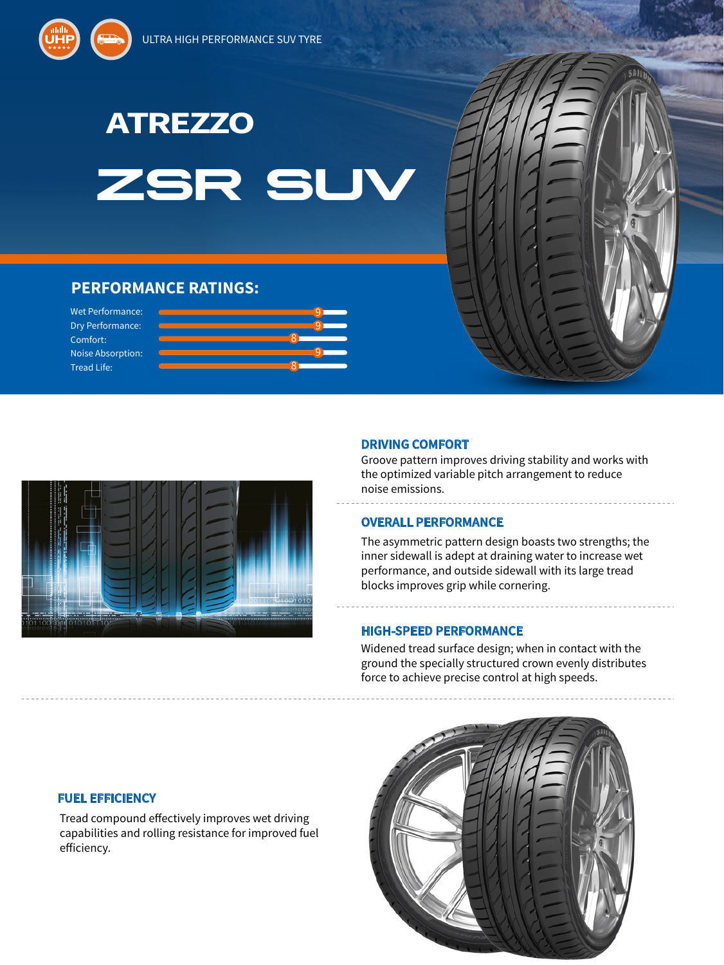

# **ZSR SL**

9

9

9

8

8

# **PERFORMANCE RATINGS:**

Wet Performance: Dry Performance: Comfort: Noise Absorption: Tread Life:



## **DRIVING COMFORT**

Groove pattern improves driving stability and works with the optimized variable pitch arrangement to reduce noise emissions.

### **OVERALL PERFORMANCE**

The asymmetric pattern design boasts two strengths; the inner sidewall is adept at draining water to increase wet performance, and outside sidewall with its large tread blocks improves grip while cornering.

-------------------------------

### **HIGH-SPEED PERFORMANCE**

\_\_\_\_\_\_\_\_\_\_\_\_\_\_\_\_\_\_\_

Widened tread surface design; when in contact with the ground the specially structured crown evenly distributes force to achieve precise control at high speeds.



Tread compound effectively improves wet driving capabilities and rolling resistance for improved fuel efficiency.